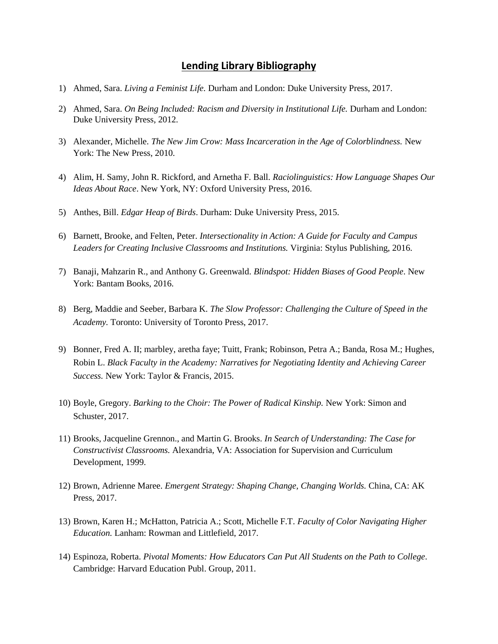## **Lending Library Bibliography**

- 1) Ahmed, Sara. *Living a Feminist Life.* Durham and London: Duke University Press, 2017.
- 2) Ahmed, Sara. *On Being Included: Racism and Diversity in Institutional Life.* Durham and London: Duke University Press, 2012.
- 3) Alexander, Michelle. *The New Jim Crow: Mass Incarceration in the Age of Colorblindness.* New York: The New Press, 2010.
- 4) Alim, H. Samy, John R. Rickford, and Arnetha F. Ball. *Raciolinguistics: How Language Shapes Our Ideas About Race*. New York, NY: Oxford University Press, 2016.
- 5) Anthes, Bill. *Edgar Heap of Birds*. Durham: Duke University Press, 2015.
- 6) Barnett, Brooke, and Felten, Peter. *Intersectionality in Action: A Guide for Faculty and Campus Leaders for Creating Inclusive Classrooms and Institutions.* Virginia: Stylus Publishing, 2016.
- 7) Banaji, Mahzarin R., and Anthony G. Greenwald. *Blindspot: Hidden Biases of Good People*. New York: Bantam Books, 2016.
- 8) Berg, Maddie and Seeber, Barbara K. *The Slow Professor: Challenging the Culture of Speed in the Academy.* Toronto: University of Toronto Press, 2017.
- 9) Bonner, Fred A. II; marbley, aretha faye; Tuitt, Frank; Robinson, Petra A.; Banda, Rosa M.; Hughes, Robin L. *Black Faculty in the Academy: Narratives for Negotiating Identity and Achieving Career Success.* New York: Taylor & Francis, 2015.
- 10) Boyle, Gregory. *Barking to the Choir: The Power of Radical Kinship.* New York: Simon and Schuster, 2017.
- 11) Brooks, Jacqueline Grennon., and Martin G. Brooks. *In Search of Understanding: The Case for Constructivist Classrooms.* Alexandria, VA: Association for Supervision and Curriculum Development, 1999.
- 12) Brown, Adrienne Maree. *Emergent Strategy: Shaping Change, Changing Worlds.* China, CA: AK Press, 2017.
- 13) Brown, Karen H.; McHatton, Patricia A.; Scott, Michelle F.T. *Faculty of Color Navigating Higher Education.* Lanham: Rowman and Littlefield, 2017.
- 14) Espinoza, Roberta. *Pivotal Moments: How Educators Can Put All Students on the Path to College*. Cambridge: Harvard Education Publ. Group, 2011.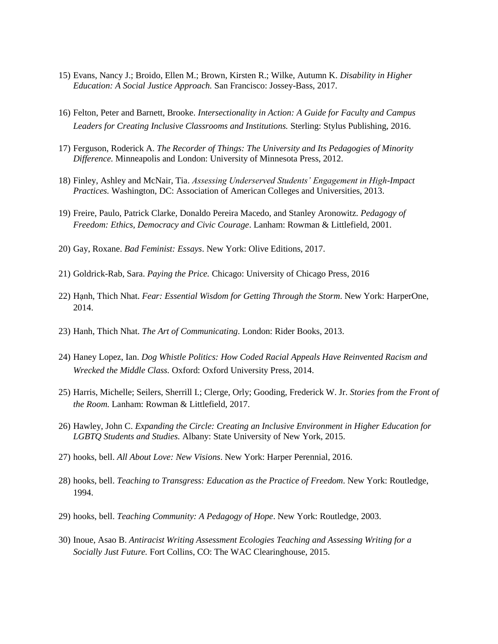- 15) Evans, Nancy J.; Broido, Ellen M.; Brown, Kirsten R.; Wilke, Autumn K. *Disability in Higher Education: A Social Justice Approach.* San Francisco: Jossey-Bass, 2017.
- 16) Felton, Peter and Barnett, Brooke. *Intersectionality in Action: A Guide for Faculty and Campus Leaders for Creating Inclusive Classrooms and Institutions.* Sterling: Stylus Publishing, 2016.
- 17) Ferguson, Roderick A. *The Recorder of Things: The University and Its Pedagogies of Minority Difference.* Minneapolis and London: University of Minnesota Press, 2012.
- 18) Finley, Ashley and McNair, Tia. *Assessing Underserved Students' Engagement in High-Impact Practices.* Washington, DC: Association of American Colleges and Universities, 2013.
- 19) Freire, Paulo, Patrick Clarke, Donaldo Pereira Macedo, and Stanley Aronowitz. *Pedagogy of Freedom: Ethics, Democracy and Civic Courage*. Lanham: Rowman & Littlefield, 2001.
- 20) Gay, Roxane. *Bad Feminist: Essays*. New York: Olive Editions, 2017.
- 21) Goldrick-Rab, Sara. *Paying the Price.* Chicago: University of Chicago Press, 2016
- 22) Hạnh, Thich Nhat. *Fear: Essential Wisdom for Getting Through the Storm*. New York: HarperOne, 2014.
- 23) Hanh, Thich Nhat. *The Art of Communicating*. London: Rider Books, 2013.
- 24) Haney Lopez, Ian. *Dog Whistle Politics: How Coded Racial Appeals Have Reinvented Racism and Wrecked the Middle Class.* Oxford: Oxford University Press, 2014.
- 25) Harris, Michelle; Seilers, Sherrill I.; Clerge, Orly; Gooding, Frederick W. Jr. *Stories from the Front of the Room.* Lanham: Rowman & Littlefield, 2017.
- 26) Hawley, John C. *Expanding the Circle: Creating an Inclusive Environment in Higher Education for LGBTQ Students and Studies.* Albany: State University of New York, 2015.
- 27) hooks, bell. *All About Love: New Visions*. New York: Harper Perennial, 2016.
- 28) hooks, bell. *Teaching to Transgress: Education as the Practice of Freedom*. New York: Routledge, 1994.
- 29) hooks, bell. *Teaching Community: A Pedagogy of Hope*. New York: Routledge, 2003.
- 30) Inoue, Asao B. *Antiracist Writing Assessment Ecologies Teaching and Assessing Writing for a Socially Just Future.* Fort Collins, CO: The WAC Clearinghouse, 2015.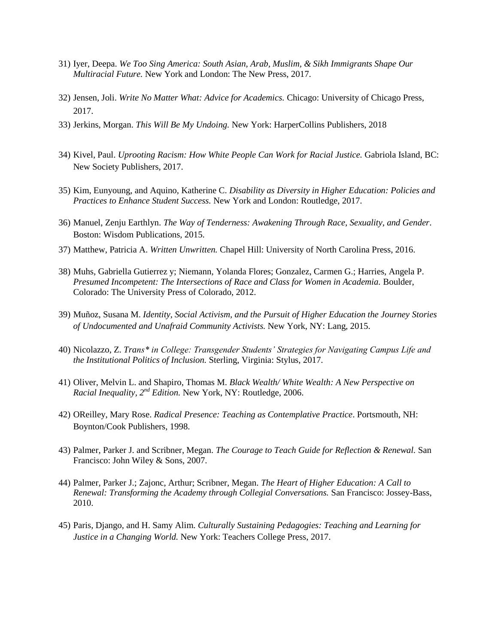- 31) Iyer, Deepa. *We Too Sing America: South Asian, Arab, Muslim, & Sikh Immigrants Shape Our Multiracial Future.* New York and London: The New Press, 2017.
- 32) Jensen, Joli. *Write No Matter What: Advice for Academics.* Chicago: University of Chicago Press, 2017.
- 33) Jerkins, Morgan. *This Will Be My Undoing.* New York: HarperCollins Publishers, 2018
- 34) Kivel, Paul. *Uprooting Racism: How White People Can Work for Racial Justice.* Gabriola Island, BC: New Society Publishers, 2017.
- 35) Kim, Eunyoung, and Aquino, Katherine C. *Disability as Diversity in Higher Education: Policies and Practices to Enhance Student Success.* New York and London: Routledge, 2017.
- 36) Manuel, Zenju Earthlyn. *The Way of Tenderness: Awakening Through Race, Sexuality, and Gender*. Boston: Wisdom Publications, 2015.
- 37) Matthew, Patricia A. *Written Unwritten.* Chapel Hill: University of North Carolina Press, 2016.
- 38) Muhs, Gabriella Gutierrez y; Niemann, Yolanda Flores; Gonzalez, Carmen G.; Harries, Angela P. *Presumed Incompetent: The Intersections of Race and Class for Women in Academia.* Boulder, Colorado: The University Press of Colorado, 2012.
- 39) Muñoz, Susana M. *Identity, Social Activism, and the Pursuit of Higher Education the Journey Stories of Undocumented and Unafraid Community Activists.* New York, NY: Lang, 2015.
- 40) Nicolazzo, Z. *Trans\* in College: Transgender Students' Strategies for Navigating Campus Life and the Institutional Politics of Inclusion.* Sterling, Virginia: Stylus, 2017.
- 41) Oliver, Melvin L. and Shapiro, Thomas M. *Black Wealth/ White Wealth: A New Perspective on Racial Inequality, 2nd Edition.* New York, NY: Routledge, 2006.
- 42) OReilley, Mary Rose. *Radical Presence: Teaching as Contemplative Practice*. Portsmouth, NH: Boynton/Cook Publishers, 1998.
- 43) Palmer, Parker J. and Scribner, Megan. *The Courage to Teach Guide for Reflection & Renewal.* San Francisco: John Wiley & Sons, 2007.
- 44) Palmer, Parker J.; Zajonc, Arthur; Scribner, Megan. *The Heart of Higher Education: A Call to Renewal: Transforming the Academy through Collegial Conversations.* San Francisco: Jossey-Bass, 2010.
- 45) Paris, Django, and H. Samy Alim. *Culturally Sustaining Pedagogies: Teaching and Learning for Justice in a Changing World.* New York: Teachers College Press, 2017.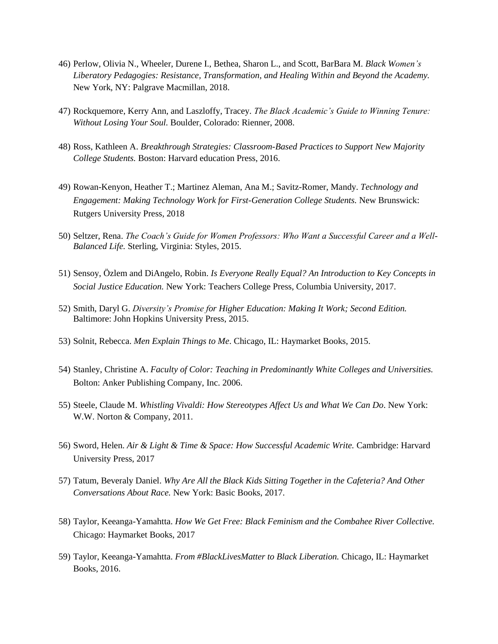- 46) Perlow, Olivia N., Wheeler, Durene I., Bethea, Sharon L., and Scott, BarBara M. *Black Women's Liberatory Pedagogies: Resistance, Transformation, and Healing Within and Beyond the Academy.*  New York, NY: Palgrave Macmillan, 2018.
- 47) Rockquemore, Kerry Ann, and Laszloffy, Tracey. *The Black Academic's Guide to Winning Tenure: Without Losing Your Soul.* Boulder, Colorado: Rienner, 2008.
- 48) Ross, Kathleen A. *Breakthrough Strategies: Classroom-Based Practices to Support New Majority College Students.* Boston: Harvard education Press, 2016.
- 49) Rowan-Kenyon, Heather T.; Martinez Aleman, Ana M.; Savitz-Romer, Mandy. *Technology and Engagement: Making Technology Work for First-Generation College Students. New Brunswick:* Rutgers University Press, 2018
- 50) Seltzer, Rena. *The Coach's Guide for Women Professors: Who Want a Successful Career and a Well-Balanced Life.* Sterling, Virginia: Styles, 2015.
- 51) Sensoy, Özlem and DiAngelo, Robin. *Is Everyone Really Equal? An Introduction to Key Concepts in Social Justice Education.* New York: Teachers College Press, Columbia University, 2017.
- 52) Smith, Daryl G. *Diversity's Promise for Higher Education: Making It Work; Second Edition.*  Baltimore: John Hopkins University Press, 2015.
- 53) Solnit, Rebecca. *Men Explain Things to Me*. Chicago, IL: Haymarket Books, 2015.
- 54) Stanley, Christine A. *Faculty of Color: Teaching in Predominantly White Colleges and Universities.*  Bolton: Anker Publishing Company, Inc. 2006.
- 55) Steele, Claude M. *Whistling Vivaldi: How Stereotypes Affect Us and What We Can Do*. New York: W.W. Norton & Company, 2011.
- 56) Sword, Helen. *Air & Light & Time & Space: How Successful Academic Write.* Cambridge: Harvard University Press, 2017
- 57) Tatum, Beveraly Daniel. *Why Are All the Black Kids Sitting Together in the Cafeteria? And Other Conversations About Race.* New York: Basic Books, 2017.
- 58) Taylor, Keeanga-Yamahtta. *How We Get Free: Black Feminism and the Combahee River Collective.*  Chicago: Haymarket Books, 2017
- 59) Taylor, Keeanga-Yamahtta. *From #BlackLivesMatter to Black Liberation.* Chicago, IL: Haymarket Books, 2016.